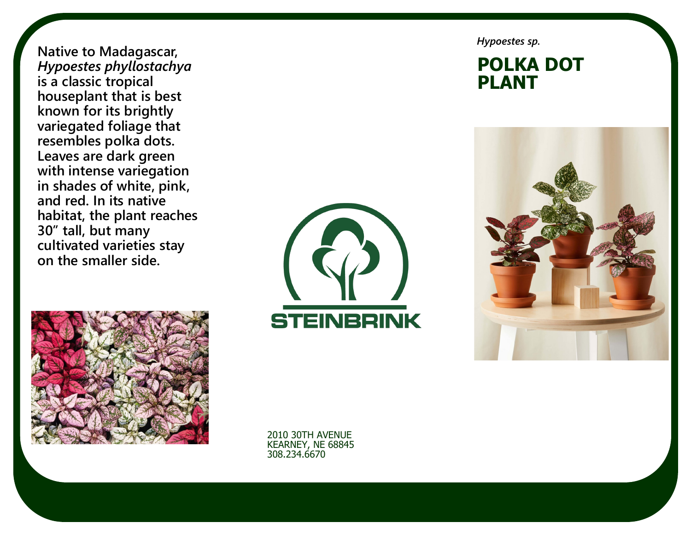**Native to Madagascar,**  *Hypoestes phyllostachya* **is a classic tropical houseplant that is best known for its brightly variegated foliage that resembles polka dots. Leaves are dark green with intense variegation in shades of white, pink, and red. In its native habitat, the plant reaches 30" tall, but many cultivated varieties stay on the smaller side.** 



*Hypoestes sp.*

#### **POLKA DOT PLANT**





2010 30TH AVENUE KEARNEY, NE 68845 308.234.6670